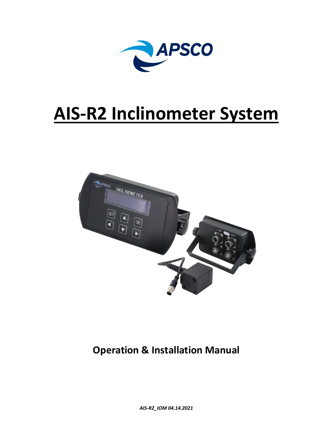

# **AIS-R2 Inclinometer System**



# **Operation & Installation Manual**

*AIS-R2\_IOM 04.14.2021*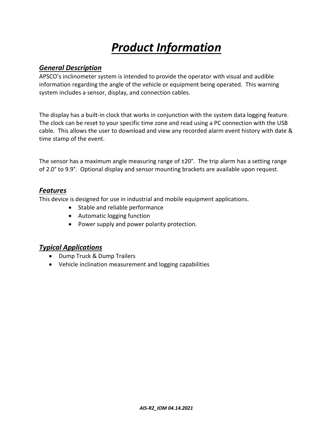# *Product Information*

#### *General Description*

APSCO's inclinometer system is intended to provide the operator with visual and audible information regarding the angle of the vehicle or equipment being operated. This warning system includes a sensor, display, and connection cables.

The display has a built-in clock that works in conjunction with the system data logging feature. The clock can be reset to your specific time zone and read using a PC connection with the USB cable. This allows the user to download and view any recorded alarm event history with date & time stamp of the event.

The sensor has a maximum angle measuring range of ±20°. The trip alarm has a setting range of 2.0° to 9.9°. Optional display and sensor mounting brackets are available upon request.

#### *Features*

This device is designed for use in industrial and mobile equipment applications.

- Stable and reliable performance
- Automatic logging function
- Power supply and power polarity protection.

#### *Typical Applications*

- Dump Truck & Dump Trailers
- Vehicle inclination measurement and logging capabilities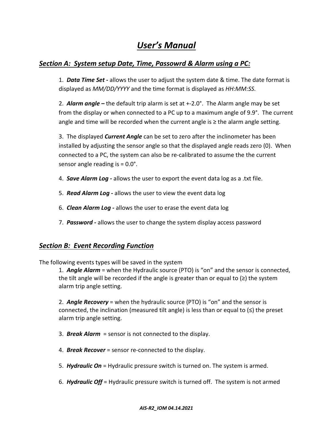# *User's Manual*

#### *Section A: System setup Date, Time, Passowrd & Alarm using a PC:*

1. *Data Time Set -* allows the user to adjust the system date & time. The date format is displayed as *MM/DD/YYYY* and the time format is displayed as *HH:MM:SS*.

2. *Alarm angle –* the default trip alarm is set at +-2.0°. The Alarm angle may be set from the display or when connected to a PC up to a maximum angle of 9.9°. The current angle and time will be recorded when the current angle is  $\geq$  the alarm angle setting.

3. The displayed *Current Angle* can be set to zero after the inclinometer has been installed by adjusting the sensor angle so that the displayed angle reads zero (0). When connected to a PC, the system can also be re-calibrated to assume the the current sensor angle reading is  $= 0.0$ °.

- 4. *Save Alarm Log -* allows the user to export the event data log as a .txt file.
- 5. *Read Alarm Log -* allows the user to view the event data log
- 6. *Clean Alarm Log -* allows the user to erase the event data log
- 7. *Password -* allows the user to change the system display access password

#### *Section B: Event Recording Function*

The following events types will be saved in the system

1. *Angle Alarm* = when the Hydraulic source (PTO) is "on" and the sensor is connected, the tilt angle will be recorded if the angle is greater than or equal to  $(≥)$  the system alarm trip angle setting.

2. *Angle Recovery* = when the hydraulic source (PTO) is "on" and the sensor is connected, the inclination (measured tilt angle) is less than or equal to  $(\le)$  the preset alarm trip angle setting.

- 3. *Break Alarm* = sensor is not connected to the display.
- 4. *Break Recover* = sensor re-connected to the display.
- 5. *Hydraulic On* = Hydraulic pressure switch is turned on. The system is armed.
- 6. *Hydraulic Off* = Hydraulic pressure switch is turned off. The system is not armed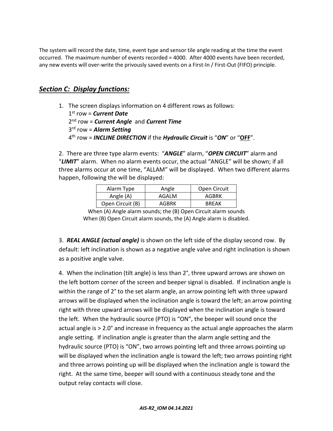The system will record the date, time, event type and sensor tile angle reading at the time the event occurred. The maximum number of events recorded = 4000. After 4000 events have been recorded, any new events will over-write the privously saved events on a First-In / First-Out (FIFO) principle.

#### *Section C: Display functions:*

1. The screen displays information on 4 different rows as follows: 1st row = *Current Date* 2nd row = *Current Angle* and *Current Time* 3rd row = *Alarm Setting* 4th row = *INCLINE DIRECTION* if the *Hydraulic Circuit* is "*ON*" or "**OFF**".

2. There are three type alarm events: "*ANGLE*" alarm, "*OPEN CIRCUIT*" alarm and "*LIMIT*" alarm. When no alarm events occur, the actual "ANGLE" will be shown; if all three alarms occur at one time, "ALLAM" will be displayed. When two different alarms happen, following the will be displayed:

| Alarm Type       | Angle | Open Circuit |
|------------------|-------|--------------|
| Angle (A)        | AGALM | AGBRK        |
| Open Circuit (B) | AGBRK | <b>RRFAK</b> |

When (A) Angle alarm sounds; the (B) Open Circuit alarm sounds When (B) Open Circuit alarm sounds, the (A) Angle alarm is disabled.

3. *REAL ANGLE (actual angle)* is shown on the left side of the display second row. By default: left inclination is shown as a negative angle valve and right inclination is shown as a positive angle valve.

4. When the inclination (tilt angle) is less than  $2^\circ$ , three upward arrows are shown on the left bottom corner of the screen and beeper signal is disabled. If inclination angle is within the range of 2° to the set alarm angle, an arrow pointing left with three upward arrows will be displayed when the inclination angle is toward the left; an arrow pointing right with three upward arrows will be displayed when the inclination angle is toward the left. When the hydraulic source (PTO) is "ON", the beeper will sound once the actual angle is > 2.0° and increase in frequency as the actual angle approaches the alarm angle setting. If inclination angle is greater than the alarm angle setting and the hydraulic source (PTO) is "ON", two arrows pointing left and three arrows pointing up will be displayed when the inclination angle is toward the left; two arrows pointing right and three arrows pointing up will be displayed when the inclination angle is toward the right. At the same time, beeper will sound with a continuous steady tone and the output relay contacts will close.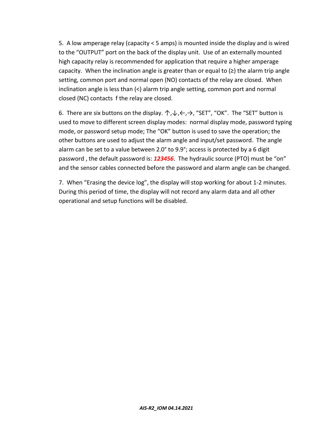5. A low amperage relay (capacity < 5 amps) is mounted inside the display and is wired to the "OUTPUT" port on the back of the display unit. Use of an externally mounted high capacity relay is recommended for application that require a higher amperage capacity. When the inclination angle is greater than or equal to  $(\ge)$  the alarm trip angle setting, common port and normal open (NO) contacts of the relay are closed. When inclination angle is less than (<) alarm trip angle setting, common port and normal closed (NC) contacts f the relay are closed.

6. There are six buttons on the display.  $\uparrow,\downarrow,\leftarrow,\rightarrow$ , "SET", "OK". The "SET" button is used to move to different screen display modes: normal display mode, password typing mode, or password setup mode; The "OK" button is used to save the operation; the other buttons are used to adjust the alarm angle and input/set password. The angle alarm can be set to a value between 2.0° to 9.9°; access is protected by a 6 digit password , the default password is: *123456*. The hydraulic source (PTO) must be "on" and the sensor cables connected before the password and alarm angle can be changed.

7. When "Erasing the device log", the display will stop working for about 1-2 minutes. During this period of time, the display will not record any alarm data and all other operational and setup functions will be disabled.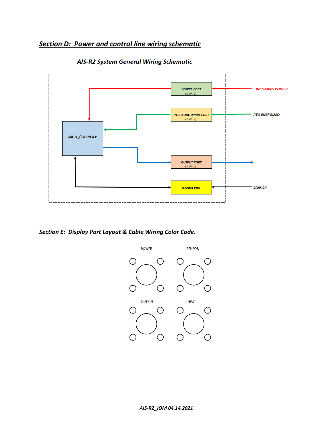#### *Section D: Power and control line wiring schematic*



#### **AIS-R2 System General Wiring Schematic**

*Section E: Display Port Layout & Cable Wiring Color Code.*

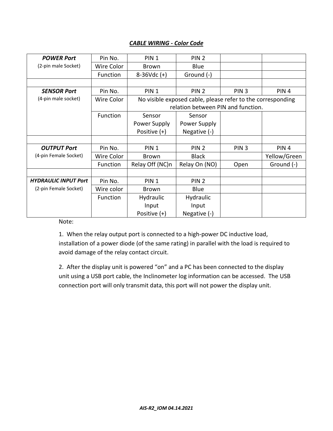#### *CABLE WIRING - Color Code*

| <b>POWER Port</b>           | Pin No.    | PIN <sub>1</sub>                                            | PIN <sub>2</sub> |                  |                  |
|-----------------------------|------------|-------------------------------------------------------------|------------------|------------------|------------------|
| (2-pin male Socket)         | Wire Color | Brown                                                       | <b>Blue</b>      |                  |                  |
|                             | Function   | $8-36Vdc (+)$                                               | Ground (-)       |                  |                  |
|                             |            |                                                             |                  |                  |                  |
| <b>SENSOR Port</b>          | Pin No.    | PIN <sub>1</sub>                                            | PIN <sub>2</sub> | PIN <sub>3</sub> | PIN <sub>4</sub> |
| (4-pin male socket)         | Wire Color | No visible exposed cable, please refer to the corresponding |                  |                  |                  |
|                             |            | relation between PIN and function.                          |                  |                  |                  |
|                             | Function   | Sensor                                                      | Sensor           |                  |                  |
|                             |            | Power Supply                                                | Power Supply     |                  |                  |
|                             |            | Positive (+)                                                | Negative (-)     |                  |                  |
|                             |            |                                                             |                  |                  |                  |
| <b>OUTPUT Port</b>          | Pin No.    | PIN <sub>1</sub>                                            | PIN <sub>2</sub> | PIN <sub>3</sub> | PIN <sub>4</sub> |
| (4-pin Female Socket)       | Wire Color | <b>Brown</b>                                                | <b>Black</b>     |                  | Yellow/Green     |
|                             | Function   | Relay Off (NC)n                                             | Relay On (NO)    | Open             | Ground (-)       |
|                             |            |                                                             |                  |                  |                  |
| <b>HYDRAULIC INPUT Port</b> | Pin No.    | PIN <sub>1</sub>                                            | PIN <sub>2</sub> |                  |                  |
| (2-pin Female Socket)       | Wire color | Brown                                                       | Blue             |                  |                  |
|                             | Function   | Hydraulic                                                   | Hydraulic        |                  |                  |
|                             |            | Input                                                       | Input            |                  |                  |
|                             |            | Positive (+)                                                | Negative (-)     |                  |                  |

Note:

1. When the relay output port is connected to a high-power DC inductive load, installation of a power diode (of the same rating) in parallel with the load is required to avoid damage of the relay contact circuit.

2. After the display unit is powered "on" and a PC has been connected to the display unit using a USB port cable, the Inclinometer log information can be accessed. The USB connection port will only transmit data, this port will not power the display unit.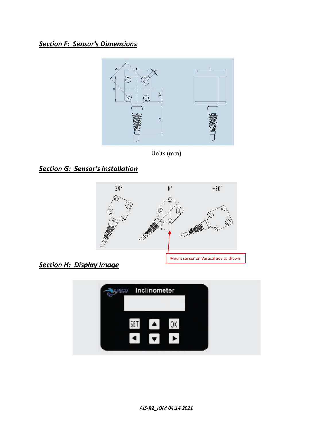# *Section F: Sensor's Dimensions*



Units (mm)

# *Section G: Sensor's installation*



*Section H: Display Image*

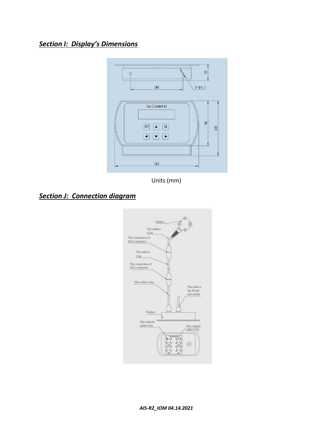# *Section I: Display's Dimensions*



Units (mm)

# *Section J: Connection diagram*

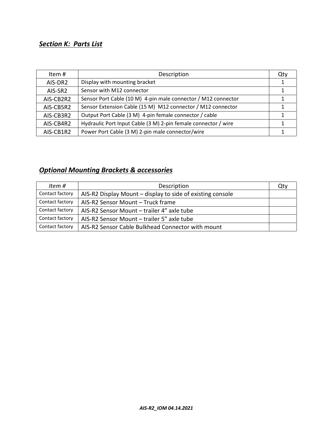#### *Section K: Parts List*

| Item#     | Description                                                    | Qty |
|-----------|----------------------------------------------------------------|-----|
| AIS-DR2   | Display with mounting bracket                                  |     |
| AIS-SR2   | Sensor with M12 connector                                      |     |
| AIS-CB2R2 | Sensor Port Cable (10 M) 4-pin male connector / M12 connector  |     |
| AIS-CB5R2 | Sensor Extension Cable (15 M) M12 connector / M12 connector    |     |
| AIS-CB3R2 | Output Port Cable (3 M) 4-pin female connector / cable         |     |
| AIS-CB4R2 | Hydraulic Port Input Cable (3 M) 2-pin female connector / wire |     |
| AIS-CB1R2 | Power Port Cable (3 M) 2-pin male connector/wire               |     |

# *Optional Mounting Brackets & accessories*

| Item#           | Description                                                | Qty |
|-----------------|------------------------------------------------------------|-----|
| Contact factory | AIS-R2 Display Mount – display to side of existing console |     |
| Contact factory | AIS-R2 Sensor Mount – Truck frame                          |     |
| Contact factory | AIS-R2 Sensor Mount - trailer 4" axle tube                 |     |
| Contact factory | AIS-R2 Sensor Mount - trailer 5" axle tube                 |     |
| Contact factory | AIS-R2 Sensor Cable Bulkhead Connector with mount          |     |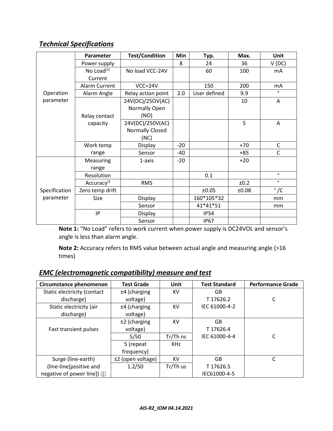# *Technical Specifications*

|               | Parameter              | <b>Test/Condition</b> | Min   | Typ.         | Max.  | Unit         |
|---------------|------------------------|-----------------------|-------|--------------|-------|--------------|
|               | Power supply           |                       | 8     | 24           | 36    | V(DC)        |
|               | No Load $(1)$          | No load VCC-24V       |       | 60           | 100   | mA           |
|               | Current                |                       |       |              |       |              |
|               | Alarm Current          | $VCC = 24V$           |       | 150          | 200   | mA           |
| Operation     | Alarm Angle            | Relay action point    | 2.0   | User defined | 9.9   | $\circ$      |
| parameter     |                        | 24V(DC)/25OV(AC)      |       |              | 10    | A            |
|               |                        | Normally Open         |       |              |       |              |
|               | Relay contact          | (NO)                  |       |              |       |              |
|               | capacity               | 24V(DC)/250V(AC)      |       |              | 5     | A            |
|               |                        | Normally Closed       |       |              |       |              |
|               |                        | (NC)                  |       |              |       |              |
|               | Work temp              | Display               | $-20$ |              | $+70$ | $\mathsf C$  |
|               | range                  | Sensor                | $-40$ |              | $+85$ | C            |
|               | Measuring              | 1-axis                | $-20$ |              | $+20$ |              |
|               | range                  |                       |       |              |       |              |
|               | Resolution             |                       |       | 0.1          |       | $\bullet$    |
|               | Accuracy <sup>(2</sup> | <b>RMS</b>            |       |              | ±0.2  | $\bullet$    |
| Specification | Zero temp drift        |                       |       | ±0.05        | ±0.08 | $\degree$ /C |
| parameter     | Size                   | Display               |       | 160*105*32   |       | mm           |
|               |                        | Sensor                |       | 41*41*51     |       | mm           |
|               | IP                     | Display               |       | <b>IP54</b>  |       |              |
|               |                        | Sensor                |       | <b>IP67</b>  |       |              |

**Note 1:** "No Load" refers to work current when power supply is DC24VOL and sensor's angle is less than alarm angle.

**Note 2:** Accuracy refers to RMS value between actual angle and measuring angle (>16 times)

#### *EMC (electromagnetic compatibility) measure and test*

| Circumstance phenomenon      | <b>Test Grade</b> | <b>Unit</b> | <b>Test Standard</b> | <b>Performance Grade</b> |
|------------------------------|-------------------|-------------|----------------------|--------------------------|
| Static electricity (contact  | $±4$ (charging    | KV.         | GB                   |                          |
| discharge)                   | voltage)          |             | T17626.2             | C                        |
| Static electricity (air      | $±4$ (charging    | <b>KV</b>   | IEC 61000-4-2        |                          |
| discharge)                   | voltage)          |             |                      |                          |
|                              | $±2$ (charging    | <b>KV</b>   | GB                   |                          |
| Fast transient pulses        | voltage)          |             | T17626.4             |                          |
|                              | 5/50              | Tr/Th ns    | IEC 61000-4-4        |                          |
|                              | 5 (repeat         | <b>KHz</b>  |                      |                          |
|                              | frequency)        |             |                      |                          |
| Surge (line-earth)           | ±2 (open voltage) | KV          | GB                   | C                        |
| (line-line[positive and      | 1.2/50            | Tr/Th us    | T17626.5             |                          |
| negative of power line]) (1) |                   |             | IEC61000-4-5         |                          |